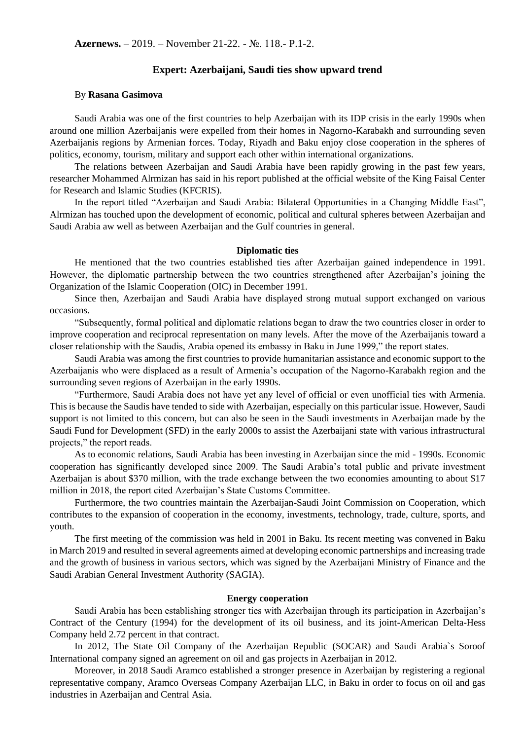# **Expert: Azerbaijani, Saudi ties show upward trend**

### By **Rasana Gasimova**

Saudi Arabia was one of the first countries to help Azerbaijan with its IDP crisis in the early 1990s when around one million Azerbaijanis were expelled from their homes in Nagorno-Karabakh and surrounding seven Azerbaijanis regions by Armenian forces. Today, Riyadh and Baku enjoy close cooperation in the spheres of politics, economy, tourism, military and support each other within international organizations.

The relations between Azerbaijan and Saudi Arabia have been rapidly growing in the past few years, researcher Mohammed Alrmizan has said in his report published at the official website of the King Faisal Center for Research and Islamic Studies (KFCRIS).

In the report titled "Azerbaijan and Saudi Arabia: Bilateral Opportunities in a Changing Middle East", Alrmizan has touched upon the development of economic, political and cultural spheres between Azerbaijan and Saudi Arabia aw well as between Azerbaijan and the Gulf countries in general.

#### **Diplomatic ties**

He mentioned that the two countries established ties after Azerbaijan gained independence in 1991. However, the diplomatic partnership between the two countries strengthened after Azerbaijan's joining the Organization of the Islamic Cooperation (OIC) in December 1991.

Since then, Azerbaijan and Saudi Arabia have displayed strong mutual support exchanged on various occasions.

"Subsequently, formal political and diplomatic relations began to draw the two countries closer in order to improve cooperation and reciprocal representation on many levels. After the move of the Azerbaijanis toward a closer relationship with the Saudis, Arabia opened its embassy in Baku in June 1999," the report states.

Saudi Arabia was among the first countries to provide humanitarian assistance and economic support to the Azerbaijanis who were displaced as a result of Armenia's occupation of the Nagorno-Karabakh region and the surrounding seven regions of Azerbaijan in the early 1990s.

"Furthermore, Saudi Arabia does not have yet any level of official or even unofficial ties with Armenia. This is because the Saudis have tended to side with Azerbaijan, especially on this particular issue. However, Saudi support is not limited to this concern, but can also be seen in the Saudi investments in Azerbaijan made by the Saudi Fund for Development (SFD) in the early 2000s to assist the Azerbaijani state with various infrastructural projects," the report reads.

As to economic relations, Saudi Arabia has been investing in Azerbaijan since the mid - 1990s. Economic cooperation has significantly developed since 2009. The Saudi Arabia's total public and private investment Azerbaijan is about \$370 million, with the trade exchange between the two economies amounting to about \$17 million in 2018, the report cited Azerbaijan's State Customs Committee.

Furthermore, the two countries maintain the Azerbaijan-Saudi Joint Commission on Cooperation, which contributes to the expansion of cooperation in the economy, investments, technology, trade, culture, sports, and youth.

The first meeting of the commission was held in 2001 in Baku. Its recent meeting was convened in Baku in March 2019 and resulted in several agreements aimed at developing economic partnerships and increasing trade and the growth of business in various sectors, which was signed by the Azerbaijani Ministry of Finance and the Saudi Arabian General Investment Authority (SAGIA).

## **Energy cooperation**

Saudi Arabia has been establishing stronger ties with Azerbaijan through its participation in Azerbaijan's Contract of the Century (1994) for the development of its oil business, and its joint-American Delta-Hess Company held 2.72 percent in that contract.

In 2012, The State Oil Company of the Azerbaijan Republic (SOCAR) and Saudi Arabia`s Soroof International company signed an agreement on oil and gas projects in Azerbaijan in 2012.

Moreover, in 2018 Saudi Aramco established a stronger presence in Azerbaijan by registering a regional representative company, Aramco Overseas Company Azerbaijan LLC, in Baku in order to focus on oil and gas industries in Azerbaijan and Central Asia.